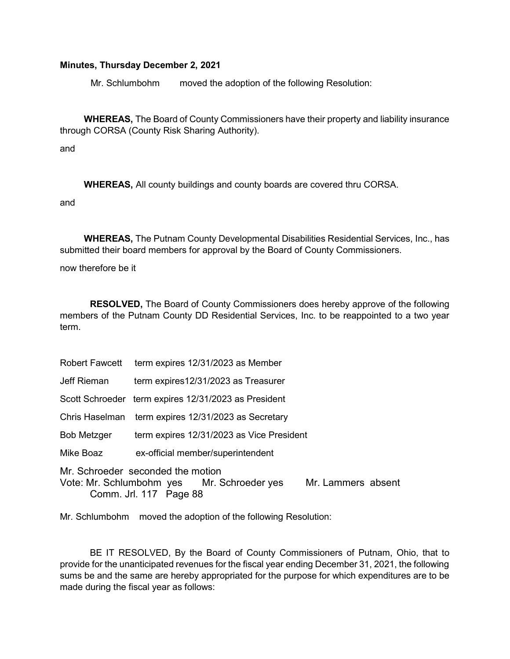## Minutes, Thursday December 2, 2021

Mr. Schlumbohm moved the adoption of the following Resolution:

WHEREAS, The Board of County Commissioners have their property and liability insurance through CORSA (County Risk Sharing Authority).

and

WHEREAS, All county buildings and county boards are covered thru CORSA.

and

WHEREAS, The Putnam County Developmental Disabilities Residential Services, Inc., has submitted their board members for approval by the Board of County Commissioners.

now therefore be it

RESOLVED, The Board of County Commissioners does hereby approve of the following members of the Putnam County DD Residential Services, Inc. to be reappointed to a two year term.

|                                                                                                                              | Robert Fawcett term expires 12/31/2023 as Member     |
|------------------------------------------------------------------------------------------------------------------------------|------------------------------------------------------|
| Jeff Rieman                                                                                                                  | term expires12/31/2023 as Treasurer                  |
|                                                                                                                              | Scott Schroeder term expires 12/31/2023 as President |
|                                                                                                                              | Chris Haselman term expires 12/31/2023 as Secretary  |
| Bob Metzger                                                                                                                  | term expires 12/31/2023 as Vice President            |
| Mike Boaz                                                                                                                    | ex-official member/superintendent                    |
| Mr. Schroeder seconded the motion<br>Vote: Mr. Schlumbohm yes Mr. Schroeder yes Mr. Lammers absent<br>Comm. Jrl. 117 Page 88 |                                                      |

Mr. Schlumbohm moved the adoption of the following Resolution:

 BE IT RESOLVED, By the Board of County Commissioners of Putnam, Ohio, that to provide for the unanticipated revenues for the fiscal year ending December 31, 2021, the following sums be and the same are hereby appropriated for the purpose for which expenditures are to be made during the fiscal year as follows: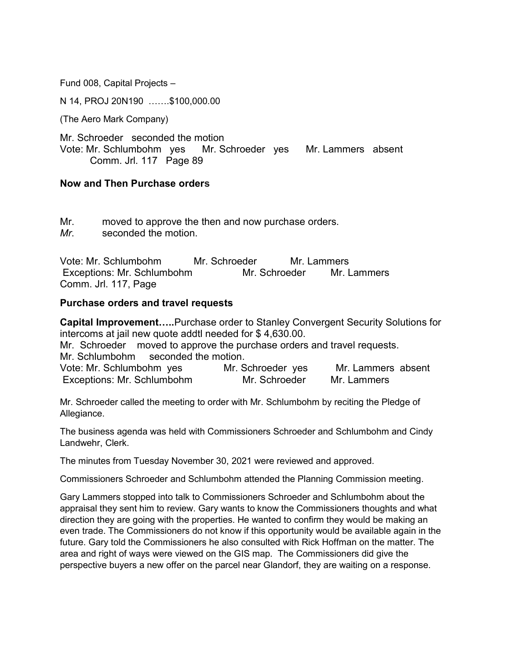Fund 008, Capital Projects –

N 14, PROJ 20N190 …….\$100,000.00

(The Aero Mark Company)

Mr. Schroeder seconded the motion Vote: Mr. Schlumbohm yes Mr. Schroeder yes Mr. Lammers absent Comm. Jrl. 117 Page 89

## Now and Then Purchase orders

Mr. moved to approve the then and now purchase orders. Mr. seconded the motion.

Vote: Mr. Schlumbohm Mr. Schroeder Mr. Lammers Exceptions: Mr. Schlumbohm Mr. Schroeder Mr. Lammers Comm. Jrl. 117, Page

## Purchase orders and travel requests

Capital Improvement…..Purchase order to Stanley Convergent Security Solutions for intercoms at jail new quote addtl needed for \$ 4,630.00. Mr. Schroeder moved to approve the purchase orders and travel requests. Mr. Schlumbohm seconded the motion. Vote: Mr. Schlumbohm yes Mr. Schroeder yes Mr. Lammers absent

Exceptions: Mr. Schlumbohm Mr. Schroeder Mr. Lammers

Mr. Schroeder called the meeting to order with Mr. Schlumbohm by reciting the Pledge of Allegiance.

The business agenda was held with Commissioners Schroeder and Schlumbohm and Cindy Landwehr, Clerk.

The minutes from Tuesday November 30, 2021 were reviewed and approved.

Commissioners Schroeder and Schlumbohm attended the Planning Commission meeting.

Gary Lammers stopped into talk to Commissioners Schroeder and Schlumbohm about the appraisal they sent him to review. Gary wants to know the Commissioners thoughts and what direction they are going with the properties. He wanted to confirm they would be making an even trade. The Commissioners do not know if this opportunity would be available again in the future. Gary told the Commissioners he also consulted with Rick Hoffman on the matter. The area and right of ways were viewed on the GIS map. The Commissioners did give the perspective buyers a new offer on the parcel near Glandorf, they are waiting on a response.